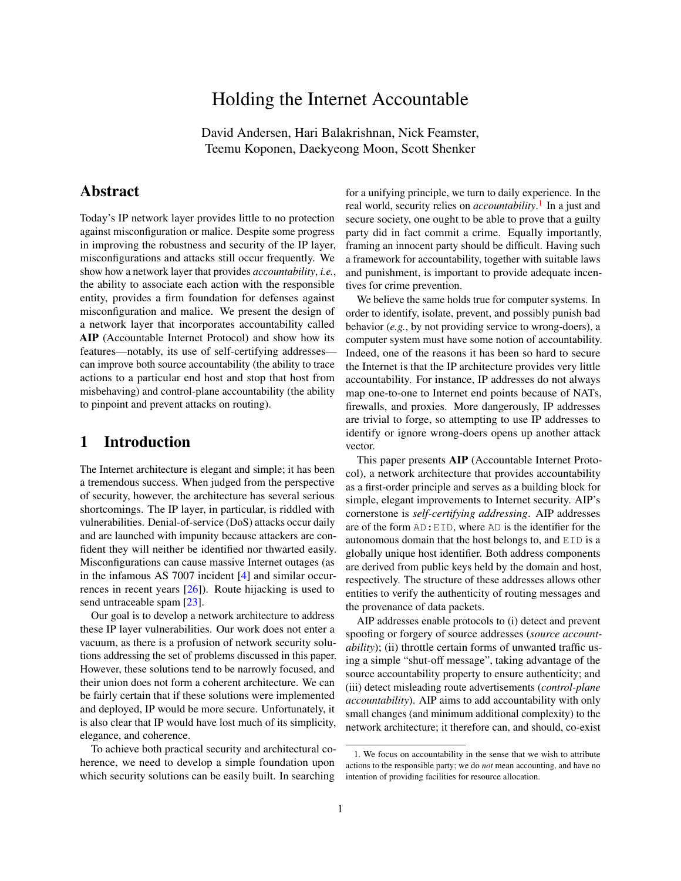# Holding the Internet Accountable

David Andersen, Hari Balakrishnan, Nick Feamster, Teemu Koponen, Daekyeong Moon, Scott Shenker

### Abstract

Today's IP network layer provides little to no protection against misconfiguration or malice. Despite some progress in improving the robustness and security of the IP layer, misconfigurations and attacks still occur frequently. We show how a network layer that provides *accountability*, *i.e.*, the ability to associate each action with the responsible entity, provides a firm foundation for defenses against misconfiguration and malice. We present the design of a network layer that incorporates accountability called AIP (Accountable Internet Protocol) and show how its features—notably, its use of self-certifying addresses can improve both source accountability (the ability to trace actions to a particular end host and stop that host from misbehaving) and control-plane accountability (the ability to pinpoint and prevent attacks on routing).

## 1 Introduction

The Internet architecture is elegant and simple; it has been a tremendous success. When judged from the perspective of security, however, the architecture has several serious shortcomings. The IP layer, in particular, is riddled with vulnerabilities. Denial-of-service (DoS) attacks occur daily and are launched with impunity because attackers are confident they will neither be identified nor thwarted easily. Misconfigurations can cause massive Internet outages (as in the infamous AS 7007 incident [\[4\]](#page-6-0) and similar occurrences in recent years [\[26\]](#page-6-1)). Route hijacking is used to send untraceable spam [\[23\]](#page-6-2).

Our goal is to develop a network architecture to address these IP layer vulnerabilities. Our work does not enter a vacuum, as there is a profusion of network security solutions addressing the set of problems discussed in this paper. However, these solutions tend to be narrowly focused, and their union does not form a coherent architecture. We can be fairly certain that if these solutions were implemented and deployed, IP would be more secure. Unfortunately, it is also clear that IP would have lost much of its simplicity, elegance, and coherence.

To achieve both practical security and architectural coherence, we need to develop a simple foundation upon which security solutions can be easily built. In searching for a unifying principle, we turn to daily experience. In the real world, security relies on *accountability*. [1](#page-0-0) In a just and secure society, one ought to be able to prove that a guilty party did in fact commit a crime. Equally importantly, framing an innocent party should be difficult. Having such a framework for accountability, together with suitable laws and punishment, is important to provide adequate incentives for crime prevention.

We believe the same holds true for computer systems. In order to identify, isolate, prevent, and possibly punish bad behavior (*e.g.*, by not providing service to wrong-doers), a computer system must have some notion of accountability. Indeed, one of the reasons it has been so hard to secure the Internet is that the IP architecture provides very little accountability. For instance, IP addresses do not always map one-to-one to Internet end points because of NATs, firewalls, and proxies. More dangerously, IP addresses are trivial to forge, so attempting to use IP addresses to identify or ignore wrong-doers opens up another attack vector.

This paper presents AIP (Accountable Internet Protocol), a network architecture that provides accountability as a first-order principle and serves as a building block for simple, elegant improvements to Internet security. AIP's cornerstone is *self-certifying addressing*. AIP addresses are of the form AD:EID, where AD is the identifier for the autonomous domain that the host belongs to, and EID is a globally unique host identifier. Both address components are derived from public keys held by the domain and host, respectively. The structure of these addresses allows other entities to verify the authenticity of routing messages and the provenance of data packets.

AIP addresses enable protocols to (i) detect and prevent spoofing or forgery of source addresses (*source accountability*); (ii) throttle certain forms of unwanted traffic using a simple "shut-off message", taking advantage of the source accountability property to ensure authenticity; and (iii) detect misleading route advertisements (*control-plane accountability*). AIP aims to add accountability with only small changes (and minimum additional complexity) to the network architecture; it therefore can, and should, co-exist

<span id="page-0-0"></span><sup>1.</sup> We focus on accountability in the sense that we wish to attribute actions to the responsible party; we do *not* mean accounting, and have no intention of providing facilities for resource allocation.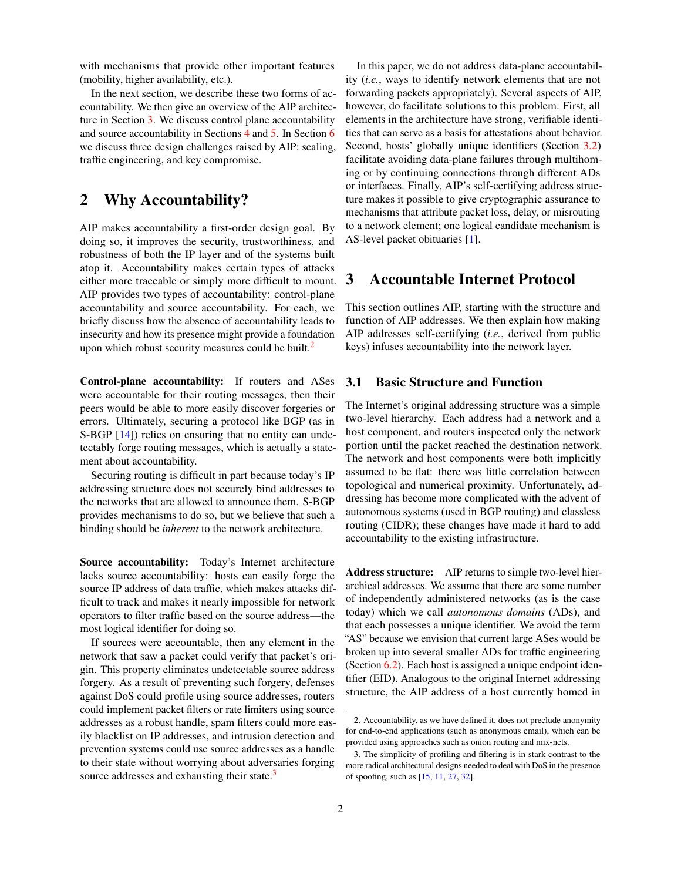with mechanisms that provide other important features (mobility, higher availability, etc.).

In the next section, we describe these two forms of accountability. We then give an overview of the AIP architecture in Section [3.](#page-1-0) We discuss control plane accountability and source accountability in Sections [4](#page-2-0) and [5.](#page-3-0) In Section [6](#page-5-0) we discuss three design challenges raised by AIP: scaling, traffic engineering, and key compromise.

### 2 Why Accountability?

AIP makes accountability a first-order design goal. By doing so, it improves the security, trustworthiness, and robustness of both the IP layer and of the systems built atop it. Accountability makes certain types of attacks either more traceable or simply more difficult to mount. AIP provides two types of accountability: control-plane accountability and source accountability. For each, we briefly discuss how the absence of accountability leads to insecurity and how its presence might provide a foundation upon which robust security measures could be built.<sup>[2](#page-1-1)</sup>

Control-plane accountability: If routers and ASes were accountable for their routing messages, then their peers would be able to more easily discover forgeries or errors. Ultimately, securing a protocol like BGP (as in S-BGP [\[14\]](#page-6-3)) relies on ensuring that no entity can undetectably forge routing messages, which is actually a statement about accountability.

Securing routing is difficult in part because today's IP addressing structure does not securely bind addresses to the networks that are allowed to announce them. S-BGP provides mechanisms to do so, but we believe that such a binding should be *inherent* to the network architecture.

Source accountability: Today's Internet architecture lacks source accountability: hosts can easily forge the source IP address of data traffic, which makes attacks difficult to track and makes it nearly impossible for network operators to filter traffic based on the source address—the most logical identifier for doing so.

If sources were accountable, then any element in the network that saw a packet could verify that packet's origin. This property eliminates undetectable source address forgery. As a result of preventing such forgery, defenses against DoS could profile using source addresses, routers could implement packet filters or rate limiters using source addresses as a robust handle, spam filters could more easily blacklist on IP addresses, and intrusion detection and prevention systems could use source addresses as a handle to their state without worrying about adversaries forging source addresses and exhausting their state.<sup>[3](#page-1-2)</sup>

In this paper, we do not address data-plane accountability (*i.e.*, ways to identify network elements that are not forwarding packets appropriately). Several aspects of AIP, however, do facilitate solutions to this problem. First, all elements in the architecture have strong, verifiable identities that can serve as a basis for attestations about behavior. Second, hosts' globally unique identifiers (Section [3.2\)](#page-2-1) facilitate avoiding data-plane failures through multihoming or by continuing connections through different ADs or interfaces. Finally, AIP's self-certifying address structure makes it possible to give cryptographic assurance to mechanisms that attribute packet loss, delay, or misrouting to a network element; one logical candidate mechanism is AS-level packet obituaries [\[1\]](#page-6-4).

### <span id="page-1-0"></span>3 Accountable Internet Protocol

This section outlines AIP, starting with the structure and function of AIP addresses. We then explain how making AIP addresses self-certifying (*i.e.*, derived from public keys) infuses accountability into the network layer.

#### 3.1 Basic Structure and Function

The Internet's original addressing structure was a simple two-level hierarchy. Each address had a network and a host component, and routers inspected only the network portion until the packet reached the destination network. The network and host components were both implicitly assumed to be flat: there was little correlation between topological and numerical proximity. Unfortunately, addressing has become more complicated with the advent of autonomous systems (used in BGP routing) and classless routing (CIDR); these changes have made it hard to add accountability to the existing infrastructure.

Address structure: AIP returns to simple two-level hierarchical addresses. We assume that there are some number of independently administered networks (as is the case today) which we call *autonomous domains* (ADs), and that each possesses a unique identifier. We avoid the term "AS" because we envision that current large ASes would be broken up into several smaller ADs for traffic engineering (Section [6.2\)](#page-5-1). Each host is assigned a unique endpoint identifier (EID). Analogous to the original Internet addressing structure, the AIP address of a host currently homed in

<span id="page-1-1"></span><sup>2.</sup> Accountability, as we have defined it, does not preclude anonymity for end-to-end applications (such as anonymous email), which can be provided using approaches such as onion routing and mix-nets.

<span id="page-1-2"></span><sup>3.</sup> The simplicity of profiling and filtering is in stark contrast to the more radical architectural designs needed to deal with DoS in the presence of spoofing, such as [\[15,](#page-6-5) [11,](#page-6-6) [27,](#page-6-7) [32\]](#page-6-8).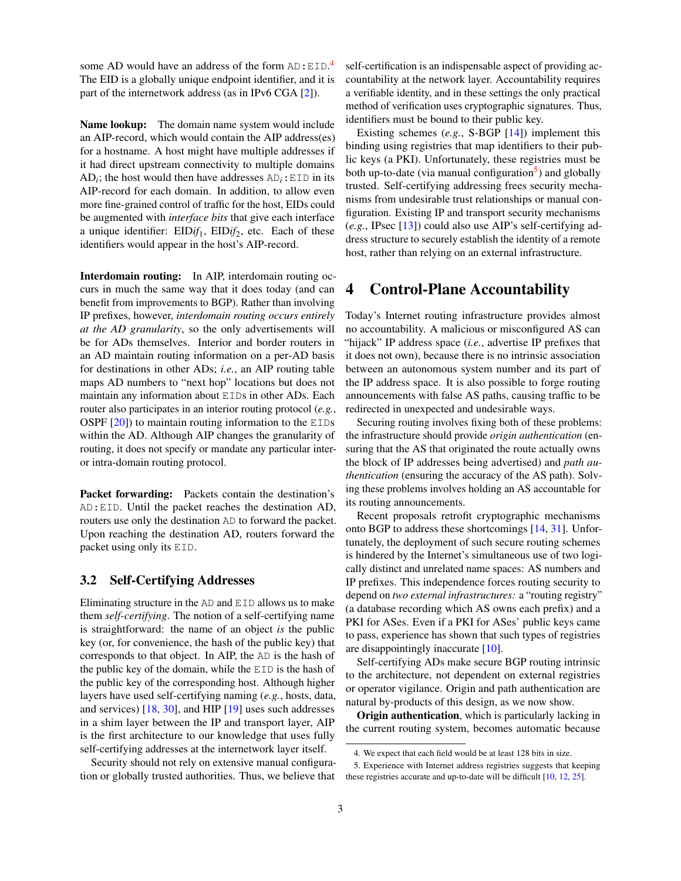some AD would have an address of the form  $AD: EID.<sup>4</sup>$  $AD: EID.<sup>4</sup>$  $AD: EID.<sup>4</sup>$ The EID is a globally unique endpoint identifier, and it is part of the internetwork address (as in IPv6 CGA [\[2\]](#page-6-9)).

**Name lookup:** The domain name system would include an AIP-record, which would contain the AIP address(es) for a hostname. A host might have multiple addresses if it had direct upstream connectivity to multiple domains  $AD_i$ ; the host would then have addresses  $AD_i$ : EID in its AIP-record for each domain. In addition, to allow even more fine-grained control of traffic for the host, EIDs could be augmented with *interface bits* that give each interface a unique identifier:  $EIDif_1$ ,  $EIDif_2$ , etc. Each of these identifiers would appear in the host's AIP-record.

Interdomain routing: In AIP, interdomain routing occurs in much the same way that it does today (and can benefit from improvements to BGP). Rather than involving IP prefixes, however, *interdomain routing occurs entirely at the AD granularity*, so the only advertisements will be for ADs themselves. Interior and border routers in an AD maintain routing information on a per-AD basis for destinations in other ADs; *i.e.*, an AIP routing table maps AD numbers to "next hop" locations but does not maintain any information about EIDs in other ADs. Each router also participates in an interior routing protocol (*e.g.*, OSPF  $[20]$ ) to maintain routing information to the EIDs within the AD. Although AIP changes the granularity of routing, it does not specify or mandate any particular interor intra-domain routing protocol.

Packet forwarding: Packets contain the destination's AD:EID. Until the packet reaches the destination AD, routers use only the destination AD to forward the packet. Upon reaching the destination AD, routers forward the packet using only its EID.

#### <span id="page-2-1"></span>3.2 Self-Certifying Addresses

Eliminating structure in the AD and EID allows us to make them *self-certifying*. The notion of a self-certifying name is straightforward: the name of an object *is* the public key (or, for convenience, the hash of the public key) that corresponds to that object. In AIP, the AD is the hash of the public key of the domain, while the EID is the hash of the public key of the corresponding host. Although higher layers have used self-certifying naming (*e.g.*, hosts, data, and services) [\[18,](#page-6-11) [30\]](#page-6-12), and HIP [\[19\]](#page-6-13) uses such addresses in a shim layer between the IP and transport layer, AIP is the first architecture to our knowledge that uses fully self-certifying addresses at the internetwork layer itself.

Security should not rely on extensive manual configuration or globally trusted authorities. Thus, we believe that

self-certification is an indispensable aspect of providing accountability at the network layer. Accountability requires a verifiable identity, and in these settings the only practical method of verification uses cryptographic signatures. Thus, identifiers must be bound to their public key.

Existing schemes (*e.g.*, S-BGP [\[14\]](#page-6-3)) implement this binding using registries that map identifiers to their public keys (a PKI). Unfortunately, these registries must be both up-to-date (via manual configuration<sup>[5](#page-2-3)</sup>) and globally trusted. Self-certifying addressing frees security mechanisms from undesirable trust relationships or manual configuration. Existing IP and transport security mechanisms (*e.g.*, IPsec [\[13\]](#page-6-14)) could also use AIP's self-certifying address structure to securely establish the identity of a remote host, rather than relying on an external infrastructure.

### <span id="page-2-0"></span>4 Control-Plane Accountability

Today's Internet routing infrastructure provides almost no accountability. A malicious or misconfigured AS can "hijack" IP address space (*i.e.*, advertise IP prefixes that it does not own), because there is no intrinsic association between an autonomous system number and its part of the IP address space. It is also possible to forge routing announcements with false AS paths, causing traffic to be redirected in unexpected and undesirable ways.

Securing routing involves fixing both of these problems: the infrastructure should provide *origin authentication* (ensuring that the AS that originated the route actually owns the block of IP addresses being advertised) and *path authentication* (ensuring the accuracy of the AS path). Solving these problems involves holding an AS accountable for its routing announcements.

Recent proposals retrofit cryptographic mechanisms onto BGP to address these shortcomings [\[14,](#page-6-3) [31\]](#page-6-15). Unfortunately, the deployment of such secure routing schemes is hindered by the Internet's simultaneous use of two logically distinct and unrelated name spaces: AS numbers and IP prefixes. This independence forces routing security to depend on *two external infrastructures:* a "routing registry" (a database recording which AS owns each prefix) and a PKI for ASes. Even if a PKI for ASes' public keys came to pass, experience has shown that such types of registries are disappointingly inaccurate [\[10\]](#page-6-16).

Self-certifying ADs make secure BGP routing intrinsic to the architecture, not dependent on external registries or operator vigilance. Origin and path authentication are natural by-products of this design, as we now show.

Origin authentication, which is particularly lacking in the current routing system, becomes automatic because

<span id="page-2-3"></span><span id="page-2-2"></span><sup>4.</sup> We expect that each field would be at least 128 bits in size.

<sup>5.</sup> Experience with Internet address registries suggests that keeping these registries accurate and up-to-date will be difficult [\[10,](#page-6-16) [12,](#page-6-17) [25\]](#page-6-18).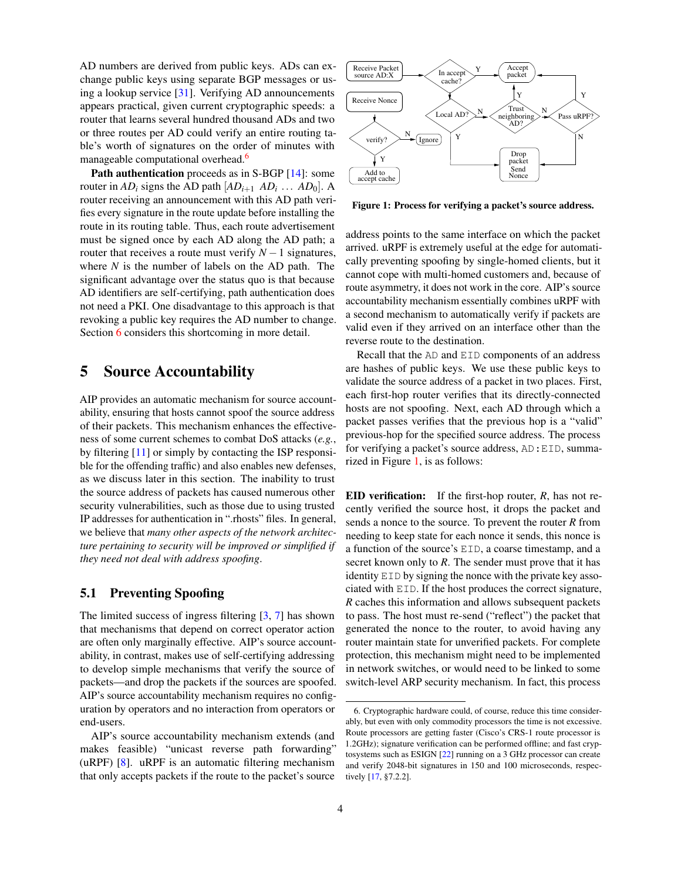AD numbers are derived from public keys. ADs can exchange public keys using separate BGP messages or using a lookup service [\[31\]](#page-6-15). Verifying AD announcements appears practical, given current cryptographic speeds: a router that learns several hundred thousand ADs and two or three routes per AD could verify an entire routing table's worth of signatures on the order of minutes with manageable computational overhead.<sup>[6](#page-3-1)</sup>

Path authentication proceeds as in S-BGP [\[14\]](#page-6-3): some router in  $AD_i$  signs the AD path  $[AD_{i+1}$   $AD_i$  ...  $AD_0]$ . A router receiving an announcement with this AD path verifies every signature in the route update before installing the route in its routing table. Thus, each route advertisement must be signed once by each AD along the AD path; a router that receives a route must verify  $N-1$  signatures, where *N* is the number of labels on the AD path. The significant advantage over the status quo is that because AD identifiers are self-certifying, path authentication does not need a PKI. One disadvantage to this approach is that revoking a public key requires the AD number to change. Section [6](#page-5-0) considers this shortcoming in more detail.

### <span id="page-3-0"></span>5 Source Accountability

AIP provides an automatic mechanism for source accountability, ensuring that hosts cannot spoof the source address of their packets. This mechanism enhances the effectiveness of some current schemes to combat DoS attacks (*e.g.*, by filtering [\[11\]](#page-6-6) or simply by contacting the ISP responsible for the offending traffic) and also enables new defenses, as we discuss later in this section. The inability to trust the source address of packets has caused numerous other security vulnerabilities, such as those due to using trusted IP addresses for authentication in ".rhosts" files. In general, we believe that *many other aspects of the network architecture pertaining to security will be improved or simplified if they need not deal with address spoofing*.

#### 5.1 Preventing Spoofing

The limited success of ingress filtering  $[3, 7]$  $[3, 7]$  $[3, 7]$  has shown that mechanisms that depend on correct operator action are often only marginally effective. AIP's source accountability, in contrast, makes use of self-certifying addressing to develop simple mechanisms that verify the source of packets—and drop the packets if the sources are spoofed. AIP's source accountability mechanism requires no configuration by operators and no interaction from operators or end-users.

AIP's source accountability mechanism extends (and makes feasible) "unicast reverse path forwarding" (uRPF) [\[8\]](#page-6-21). uRPF is an automatic filtering mechanism that only accepts packets if the route to the packet's source



<span id="page-3-2"></span>Figure 1: Process for verifying a packet's source address.

address points to the same interface on which the packet arrived. uRPF is extremely useful at the edge for automatically preventing spoofing by single-homed clients, but it cannot cope with multi-homed customers and, because of route asymmetry, it does not work in the core. AIP's source accountability mechanism essentially combines uRPF with a second mechanism to automatically verify if packets are valid even if they arrived on an interface other than the reverse route to the destination.

Recall that the AD and EID components of an address are hashes of public keys. We use these public keys to validate the source address of a packet in two places. First, each first-hop router verifies that its directly-connected hosts are not spoofing. Next, each AD through which a packet passes verifies that the previous hop is a "valid" previous-hop for the specified source address. The process for verifying a packet's source address, AD:EID, summarized in Figure [1,](#page-3-2) is as follows:

EID verification: If the first-hop router, *R*, has not recently verified the source host, it drops the packet and sends a nonce to the source. To prevent the router *R* from needing to keep state for each nonce it sends, this nonce is a function of the source's EID, a coarse timestamp, and a secret known only to *R*. The sender must prove that it has identity EID by signing the nonce with the private key associated with EID. If the host produces the correct signature, *R* caches this information and allows subsequent packets to pass. The host must re-send ("reflect") the packet that generated the nonce to the router, to avoid having any router maintain state for unverified packets. For complete protection, this mechanism might need to be implemented in network switches, or would need to be linked to some switch-level ARP security mechanism. In fact, this process

<span id="page-3-1"></span><sup>6.</sup> Cryptographic hardware could, of course, reduce this time considerably, but even with only commodity processors the time is not excessive. Route processors are getting faster (Cisco's CRS-1 route processor is 1.2GHz); signature verification can be performed offline; and fast cryptosystems such as ESIGN [\[22\]](#page-6-22) running on a 3 GHz processor can create and verify 2048-bit signatures in 150 and 100 microseconds, respectively [\[17,](#page-6-23) §7.2.2].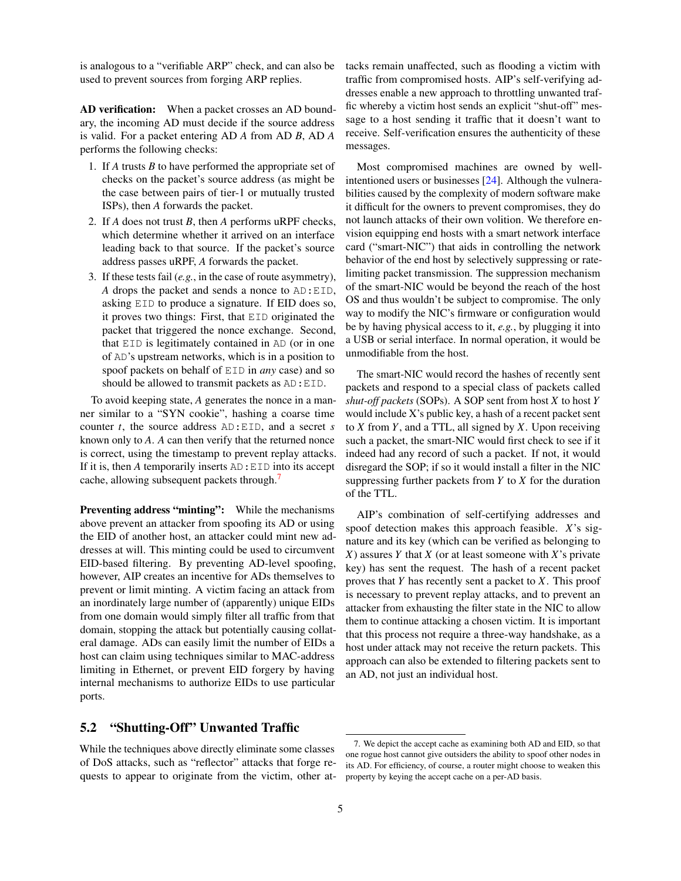is analogous to a "verifiable ARP" check, and can also be used to prevent sources from forging ARP replies.

AD verification: When a packet crosses an AD boundary, the incoming AD must decide if the source address is valid. For a packet entering AD *A* from AD *B*, AD *A* performs the following checks:

- 1. If *A* trusts *B* to have performed the appropriate set of checks on the packet's source address (as might be the case between pairs of tier-1 or mutually trusted ISPs), then *A* forwards the packet.
- 2. If *A* does not trust *B*, then *A* performs uRPF checks, which determine whether it arrived on an interface leading back to that source. If the packet's source address passes uRPF, *A* forwards the packet.
- 3. If these tests fail (*e.g.*, in the case of route asymmetry), *A* drops the packet and sends a nonce to AD:EID, asking EID to produce a signature. If EID does so, it proves two things: First, that EID originated the packet that triggered the nonce exchange. Second, that EID is legitimately contained in AD (or in one of AD's upstream networks, which is in a position to spoof packets on behalf of EID in *any* case) and so should be allowed to transmit packets as AD:EID.

To avoid keeping state, *A* generates the nonce in a manner similar to a "SYN cookie", hashing a coarse time counter *t*, the source address AD:EID, and a secret *s* known only to *A*. *A* can then verify that the returned nonce is correct, using the timestamp to prevent replay attacks. If it is, then *A* temporarily inserts AD:EID into its accept cache, allowing subsequent packets through.<sup>[7](#page-4-0)</sup>

Preventing address "minting": While the mechanisms above prevent an attacker from spoofing its AD or using the EID of another host, an attacker could mint new addresses at will. This minting could be used to circumvent EID-based filtering. By preventing AD-level spoofing, however, AIP creates an incentive for ADs themselves to prevent or limit minting. A victim facing an attack from an inordinately large number of (apparently) unique EIDs from one domain would simply filter all traffic from that domain, stopping the attack but potentially causing collateral damage. ADs can easily limit the number of EIDs a host can claim using techniques similar to MAC-address limiting in Ethernet, or prevent EID forgery by having internal mechanisms to authorize EIDs to use particular ports.

tacks remain unaffected, such as flooding a victim with traffic from compromised hosts. AIP's self-verifying addresses enable a new approach to throttling unwanted traffic whereby a victim host sends an explicit "shut-off" message to a host sending it traffic that it doesn't want to receive. Self-verification ensures the authenticity of these messages.

Most compromised machines are owned by wellintentioned users or businesses [\[24\]](#page-6-24). Although the vulnerabilities caused by the complexity of modern software make it difficult for the owners to prevent compromises, they do not launch attacks of their own volition. We therefore envision equipping end hosts with a smart network interface card ("smart-NIC") that aids in controlling the network behavior of the end host by selectively suppressing or ratelimiting packet transmission. The suppression mechanism of the smart-NIC would be beyond the reach of the host OS and thus wouldn't be subject to compromise. The only way to modify the NIC's firmware or configuration would be by having physical access to it, *e.g.*, by plugging it into a USB or serial interface. In normal operation, it would be unmodifiable from the host.

The smart-NIC would record the hashes of recently sent packets and respond to a special class of packets called *shut-off packets* (SOPs). A SOP sent from host *X* to host *Y* would include X's public key, a hash of a recent packet sent to *X* from *Y*, and a TTL, all signed by *X*. Upon receiving such a packet, the smart-NIC would first check to see if it indeed had any record of such a packet. If not, it would disregard the SOP; if so it would install a filter in the NIC suppressing further packets from *Y* to *X* for the duration of the TTL.

AIP's combination of self-certifying addresses and spoof detection makes this approach feasible. *X*'s signature and its key (which can be verified as belonging to *X*) assures *Y* that *X* (or at least someone with *X*'s private key) has sent the request. The hash of a recent packet proves that *Y* has recently sent a packet to *X*. This proof is necessary to prevent replay attacks, and to prevent an attacker from exhausting the filter state in the NIC to allow them to continue attacking a chosen victim. It is important that this process not require a three-way handshake, as a host under attack may not receive the return packets. This approach can also be extended to filtering packets sent to an AD, not just an individual host.

#### 5.2 "Shutting-Off" Unwanted Traffic

While the techniques above directly eliminate some classes of DoS attacks, such as "reflector" attacks that forge requests to appear to originate from the victim, other at-

<span id="page-4-0"></span><sup>7.</sup> We depict the accept cache as examining both AD and EID, so that one rogue host cannot give outsiders the ability to spoof other nodes in its AD. For efficiency, of course, a router might choose to weaken this property by keying the accept cache on a per-AD basis.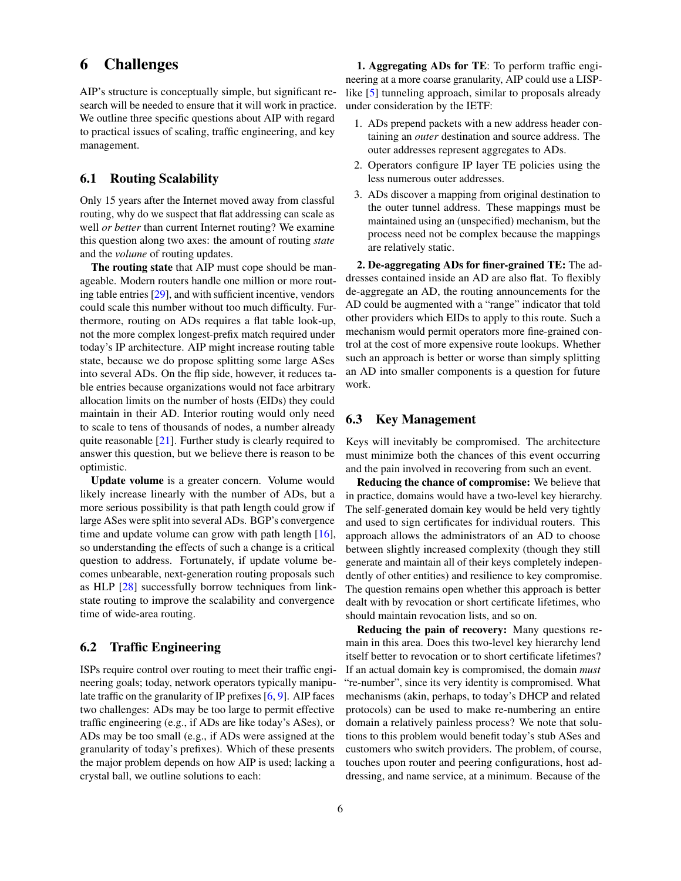### <span id="page-5-0"></span>6 Challenges

AIP's structure is conceptually simple, but significant research will be needed to ensure that it will work in practice. We outline three specific questions about AIP with regard to practical issues of scaling, traffic engineering, and key management.

#### 6.1 Routing Scalability

Only 15 years after the Internet moved away from classful routing, why do we suspect that flat addressing can scale as well *or better* than current Internet routing? We examine this question along two axes: the amount of routing *state* and the *volume* of routing updates.

The routing state that AIP must cope should be manageable. Modern routers handle one million or more routing table entries [\[29\]](#page-6-25), and with sufficient incentive, vendors could scale this number without too much difficulty. Furthermore, routing on ADs requires a flat table look-up, not the more complex longest-prefix match required under today's IP architecture. AIP might increase routing table state, because we do propose splitting some large ASes into several ADs. On the flip side, however, it reduces table entries because organizations would not face arbitrary allocation limits on the number of hosts (EIDs) they could maintain in their AD. Interior routing would only need to scale to tens of thousands of nodes, a number already quite reasonable [\[21\]](#page-6-26). Further study is clearly required to answer this question, but we believe there is reason to be optimistic.

Update volume is a greater concern. Volume would likely increase linearly with the number of ADs, but a more serious possibility is that path length could grow if large ASes were split into several ADs. BGP's convergence time and update volume can grow with path length  $[16]$ , so understanding the effects of such a change is a critical question to address. Fortunately, if update volume becomes unbearable, next-generation routing proposals such as HLP [\[28\]](#page-6-28) successfully borrow techniques from linkstate routing to improve the scalability and convergence time of wide-area routing.

#### <span id="page-5-1"></span>6.2 Traffic Engineering

ISPs require control over routing to meet their traffic engineering goals; today, network operators typically manipulate traffic on the granularity of IP prefixes [\[6,](#page-6-29) [9\]](#page-6-30). AIP faces two challenges: ADs may be too large to permit effective traffic engineering (e.g., if ADs are like today's ASes), or ADs may be too small (e.g., if ADs were assigned at the granularity of today's prefixes). Which of these presents the major problem depends on how AIP is used; lacking a crystal ball, we outline solutions to each:

1. Aggregating ADs for TE: To perform traffic engineering at a more coarse granularity, AIP could use a LISP-like [\[5\]](#page-6-31) tunneling approach, similar to proposals already under consideration by the IETF:

- 1. ADs prepend packets with a new address header containing an *outer* destination and source address. The outer addresses represent aggregates to ADs.
- 2. Operators configure IP layer TE policies using the less numerous outer addresses.
- 3. ADs discover a mapping from original destination to the outer tunnel address. These mappings must be maintained using an (unspecified) mechanism, but the process need not be complex because the mappings are relatively static.

2. De-aggregating ADs for finer-grained TE: The addresses contained inside an AD are also flat. To flexibly de-aggregate an AD, the routing announcements for the AD could be augmented with a "range" indicator that told other providers which EIDs to apply to this route. Such a mechanism would permit operators more fine-grained control at the cost of more expensive route lookups. Whether such an approach is better or worse than simply splitting an AD into smaller components is a question for future work.

#### 6.3 Key Management

Keys will inevitably be compromised. The architecture must minimize both the chances of this event occurring and the pain involved in recovering from such an event.

Reducing the chance of compromise: We believe that in practice, domains would have a two-level key hierarchy. The self-generated domain key would be held very tightly and used to sign certificates for individual routers. This approach allows the administrators of an AD to choose between slightly increased complexity (though they still generate and maintain all of their keys completely independently of other entities) and resilience to key compromise. The question remains open whether this approach is better dealt with by revocation or short certificate lifetimes, who should maintain revocation lists, and so on.

Reducing the pain of recovery: Many questions remain in this area. Does this two-level key hierarchy lend itself better to revocation or to short certificate lifetimes? If an actual domain key is compromised, the domain *must* "re-number", since its very identity is compromised. What mechanisms (akin, perhaps, to today's DHCP and related protocols) can be used to make re-numbering an entire domain a relatively painless process? We note that solutions to this problem would benefit today's stub ASes and customers who switch providers. The problem, of course, touches upon router and peering configurations, host addressing, and name service, at a minimum. Because of the